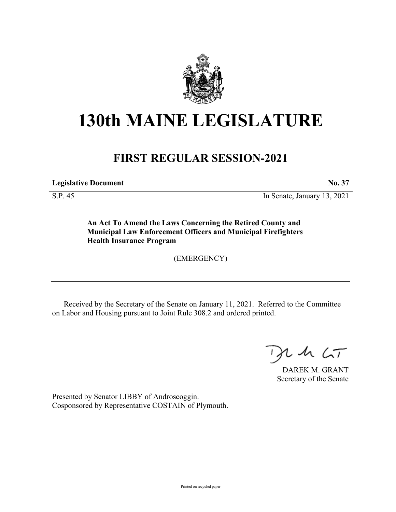

## **130th MAINE LEGISLATURE**

## **FIRST REGULAR SESSION-2021**

**Legislative Document No. 37**

S.P. 45 In Senate, January 13, 2021

**An Act To Amend the Laws Concerning the Retired County and Municipal Law Enforcement Officers and Municipal Firefighters Health Insurance Program**

(EMERGENCY)

Received by the Secretary of the Senate on January 11, 2021. Referred to the Committee on Labor and Housing pursuant to Joint Rule 308.2 and ordered printed.

 $425$ 

DAREK M. GRANT Secretary of the Senate

Presented by Senator LIBBY of Androscoggin. Cosponsored by Representative COSTAIN of Plymouth.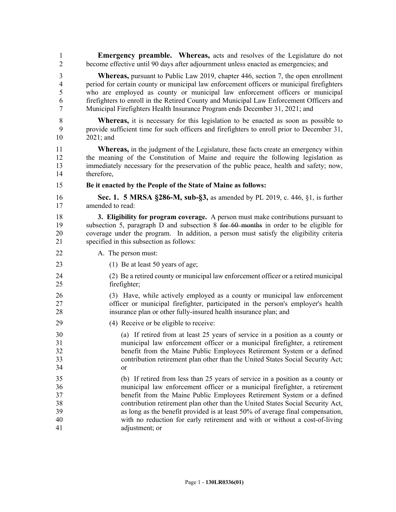1 **Emergency preamble. Whereas,** acts and resolves of the Legislature do not 2 become effective until 90 days after adjournment unless enacted as emergencies; and

3 **Whereas,** pursuant to Public Law 2019, chapter 446, section 7, the open enrollment 4 period for certain county or municipal law enforcement officers or municipal firefighters 5 who are employed as county or municipal law enforcement officers or municipal 6 firefighters to enroll in the Retired County and Municipal Law Enforcement Officers and 7 Municipal Firefighters Health Insurance Program ends December 31, 2021; and

8 **Whereas,** it is necessary for this legislation to be enacted as soon as possible to 9 provide sufficient time for such officers and firefighters to enroll prior to December 31, 10 2021; and

11 **Whereas,** in the judgment of the Legislature, these facts create an emergency within 12 the meaning of the Constitution of Maine and require the following legislation as 13 immediately necessary for the preservation of the public peace, health and safety; now, 14 therefore,

15 **Be it enacted by the People of the State of Maine as follows:**

16 **Sec. 1. 5 MRSA §286-M, sub-§3,** as amended by PL 2019, c. 446, §1, is further 17 amended to read:

18 **3. Eligibility for program coverage.** A person must make contributions pursuant to 19 subsection 5, paragraph D and subsection 8 for 60 months in order to be eligible for 20 coverage under the program. In addition, a person must satisfy the eligibility criteria 21 specified in this subsection as follows:

- 22 A. The person must:
- 23 (1) Be at least 50 years of age;
- 24 (2) Be a retired county or municipal law enforcement officer or a retired municipal 25 firefighter;

26 (3) Have, while actively employed as a county or municipal law enforcement 27 officer or municipal firefighter, participated in the person's employer's health 28 insurance plan or other fully-insured health insurance plan; and

29 (4) Receive or be eligible to receive:

30 (a) If retired from at least 25 years of service in a position as a county or 31 municipal law enforcement officer or a municipal firefighter, a retirement 32 benefit from the Maine Public Employees Retirement System or a defined 33 contribution retirement plan other than the United States Social Security Act; 34 or

35 (b) If retired from less than 25 years of service in a position as a county or 36 municipal law enforcement officer or a municipal firefighter, a retirement 37 benefit from the Maine Public Employees Retirement System or a defined 38 contribution retirement plan other than the United States Social Security Act, 39 as long as the benefit provided is at least 50% of average final compensation, 40 with no reduction for early retirement and with or without a cost-of-living 41 adjustment; or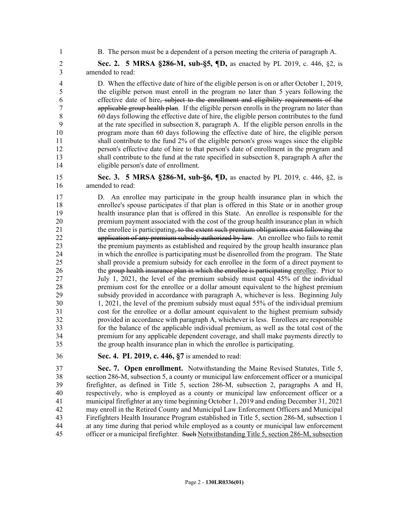1 B. The person must be a dependent of a person meeting the criteria of paragraph A.

2 **Sec. 2. 5 MRSA §286-M, sub-§5, ¶D,** as enacted by PL 2019, c. 446, §2, is 3 amended to read:

4 D. When the effective date of hire of the eligible person is on or after October 1, 2019, 5 the eligible person must enroll in the program no later than 5 years following the 6 effective date of hire, subject to the enrollment and eligibility requirements of the 7 applicable group health plan. If the eligible person enrolls in the program no later than 8 60 days following the effective date of hire, the eligible person contributes to the fund 9 at the rate specified in subsection 8, paragraph A. If the eligible person enrolls in the 10 program more than 60 days following the effective date of hire, the eligible person 11 shall contribute to the fund 2% of the eligible person's gross wages since the eligible 12 person's effective date of hire to that person's date of enrollment in the program and 13 shall contribute to the fund at the rate specified in subsection 8, paragraph A after the 14 eligible person's date of enrollment.

15 **Sec. 3. 5 MRSA §286-M, sub-§6, ¶D,** as enacted by PL 2019, c. 446, §2, is 16 amended to read:

17 D. An enrollee may participate in the group health insurance plan in which the 18 enrollee's spouse participates if that plan is offered in this State or in another group 19 health insurance plan that is offered in this State. An enrollee is responsible for the 20 premium payment associated with the cost of the group health insurance plan in which 21 the enrollee is participating, to the extent such premium obligations exist following the 22 application of any premium subsidy authorized by law. An enrollee who fails to remit 23 the premium payments as established and required by the group health insurance plan 24 in which the enrollee is participating must be disenrolled from the program. The State 25 shall provide a premium subsidy for each enrollee in the form of a direct payment to 26 the group health insurance plan in which the enrollee is participating enrollee. Prior to 27 July 1, 2021, the level of the premium subsidy must equal 45% of the individual 28 premium cost for the enrollee or a dollar amount equivalent to the highest premium 29 subsidy provided in accordance with paragraph A, whichever is less. Beginning July 30 1, 2021, the level of the premium subsidy must equal 55% of the individual premium 31 cost for the enrollee or a dollar amount equivalent to the highest premium subsidy 32 provided in accordance with paragraph A, whichever is less. Enrollees are responsible 33 for the balance of the applicable individual premium, as well as the total cost of the 34 premium for any applicable dependent coverage, and shall make payments directly to 35 the group health insurance plan in which the enrollee is participating.

36 **Sec. 4. PL 2019, c. 446, §7** is amended to read:

37 **Sec. 7. Open enrollment.** Notwithstanding the Maine Revised Statutes, Title 5, 38 section 286-M, subsection 5, a county or municipal law enforcement officer or a municipal 39 firefighter, as defined in Title 5, section 286-M, subsection 2, paragraphs A and H, 40 respectively, who is employed as a county or municipal law enforcement officer or a 41 municipal firefighter at any time beginning October 1, 2019 and ending December 31, 2021 42 may enroll in the Retired County and Municipal Law Enforcement Officers and Municipal 43 Firefighters Health Insurance Program established in Title 5, section 286-M, subsection 1 44 at any time during that period while employed as a county or municipal law enforcement 45 officer or a municipal firefighter. Such Notwithstanding Title 5, section 286-M, subsection